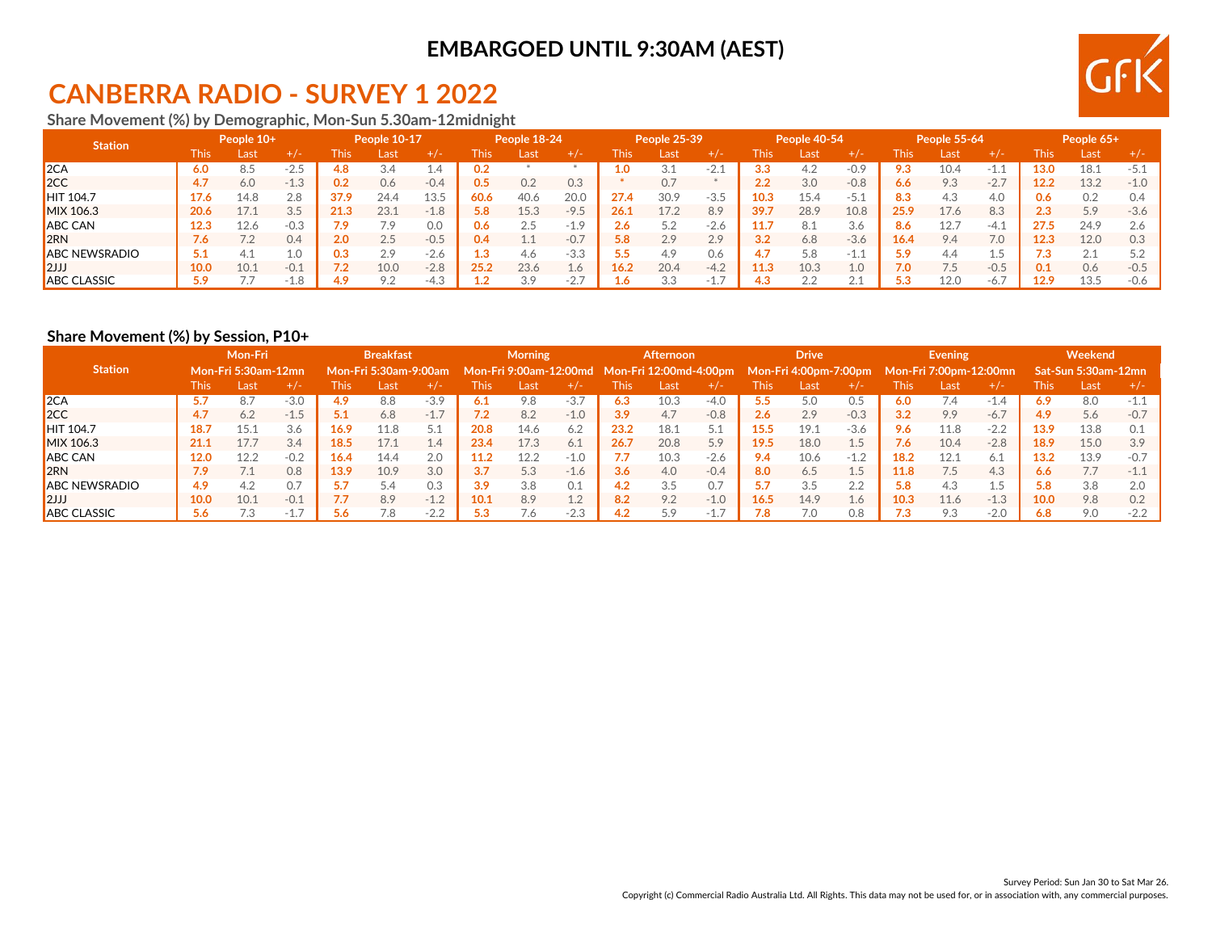## **EMBARGOED UNTIL 9:30AM (AEST)**

# **CANBERRA RADIO - SURVEY 1 2022**

**Share Movement (%) by Demographic, Mon-Sun 5.30am-12midnight**

| <b>Station</b>       | People 10+ |      | People 10-17 |      | People 18-24 |          |      | People 25-39 |          |                | People 40-54 |             |      | People 55-64 |                                    |      | People 65+ |        |                 |      |        |
|----------------------|------------|------|--------------|------|--------------|----------|------|--------------|----------|----------------|--------------|-------------|------|--------------|------------------------------------|------|------------|--------|-----------------|------|--------|
|                      | This       | _ast | $+$ / -      | his  | Last         | +/-      | This | Last         | $+/-$    | This           | Last         | $+/-$       | This | Last         | $+/-$                              | This | Last       | $+/-$  | This            | Last | $+/-$  |
| 2CA                  | 6.0        | 8.5  | .∠⊃          | 4.8  |              | $\pm .4$ | 0.2  |              |          | $\mathbf{0}$ . | 3.1          | -2.T        | 3.3  | 4.2          | $-0.9$                             | 9.3  | 10.4       | -1.1   | 13 <sub>0</sub> | 18.1 | $-5.1$ |
| 2CC                  | 4.7        | 6.0  | $-1.3$       | 0.2  | 0.6          | $-0.4$   | 0.5  | 0.2          | 0.3      |                | 0.7          |             | 2.2  | 3.0          | $-0.8$                             | 6.6  | 9.3        | $-2.7$ | 12.2            | 13.2 | $-1.0$ |
| <b>HIT 104.7</b>     | 17.6       | 14.8 | 2.8          | 37.9 | 24.4         | 13.5     | 60.6 | 40.6         | 20.0     | 27.4           | 30.9         | $-3.5$      | 10.3 | 15.4         | -5.1                               | 8.3  | 4.3        | 4.0    | 0.6             | 0.2  | 0.4    |
| MIX 106.3            | 20.6       |      | 3.5          | 21.3 | 23.1         | $-1.8$   | 5.8  | 15.3         | $-9F$    | 26.1           | 17.2         | 8.9         | 39.7 | 28.9         | 10.8                               | 25.9 | 17.6       | 8.3    | 2.3             | 5.9  | $-3.6$ |
| <b>ABC CAN</b>       | 12.3       | 12.6 | $-0.3$       | 7.9  |              | 0.0      | 0.6  | 2.5          | $-19$    | 2.6            | 5.2          | $-2.6$      | 11.7 | -8.1         | 3.6                                | 8.6  |            | -4.1   | 27.5            | 24.9 | 2.6    |
| 2RN                  | 7.6        |      | 0.4          | 2.0  | 2.5          | $-0.5$   | 0.4  | $1.1\,$      | $-0.7$   | 5.8            | 2.9          | 2.9         | 3.2  | 6.8          | $-3.6$                             | 16.4 | 9.4        | 7.0    |                 | 12.0 | 0.3    |
| <b>ABC NEWSRADIO</b> | 5.1        | 4.1  | 1.0          | 0.3  | 2.9          | $-2.6$   |      | 4.6          | $-3.3$   |                | 4.9          | 0.6         | 4.7  | 5.8          | -1                                 | 5.9  | 4.4        | L.5    | د. ا            | 2.1  |        |
| 2JJ                  | 10.0       | 10.1 | $-0.1$       | 7.2  | 10.0         | $-2.8$   | 25.2 | 23.6         | $\pm .6$ | 16.2           | 20.4         | $-4.2$      | 11.3 | 10.3         | 1.0                                | 7.0  |            | $-0.5$ |                 | 0.6  | $-0.5$ |
| <b>ABC CLASSIC</b>   | 5.9        |      | $-1.8$       | 4.9  | 9.2          | $-4.3$   |      | 3.9          | $-2.$    | 1.6.           | 3.3          | a Th<br>.L. | 4.3  | 2.2          | $\Omega$ $\Lambda$<br>$\leftarrow$ | 5.3  | 12.0       | $-6.7$ | 12.9            | 13.5 | $-0.6$ |

#### **Share Movement (%) by Session, P10+**

|                      | Mon-Fri     |                            |            | <b>Breakfast</b>      |      |        | <b>Morning</b> |      |                       | <b>Afternoon</b> |                                                                     |        | <b>Drive</b> |      |        | Evening                |      |        | Weekend |                     |        |
|----------------------|-------------|----------------------------|------------|-----------------------|------|--------|----------------|------|-----------------------|------------------|---------------------------------------------------------------------|--------|--------------|------|--------|------------------------|------|--------|---------|---------------------|--------|
| <b>Station</b>       |             | <b>Mon-Fri 5:30am-12mn</b> |            | Mon-Fri 5:30am-9:00am |      |        |                |      |                       |                  | Mon-Fri 9:00am-12:00md Mon-Fri 12:00md-4:00pm Mon-Fri 4:00pm-7:00pm |        |              |      |        | Mon-Fri 7:00pm-12:00mn |      |        |         | Sat-Sun 5:30am-12mn |        |
|                      | <b>This</b> | Lasti                      | $+/-$      | This                  | Last | $+/-$  | This           | Last | $+/-$                 | This             | Last                                                                | +7-    | This         | Last | $+/-$  | This                   | Last | $+/-$  | This.   | Last                | $+/-$  |
| 2CA                  | 5.7         | 8.7                        | $-3.0$     | 4.9                   | 8.8  | $-3.9$ | 6.1            | 9.8  | $-3.7$                | 6.3              | 10.3                                                                | $-4.0$ | 5.5          | 5.0  | 0.5    | 6.0                    | 7.4  | $-1.4$ | 6.9     | 8.0                 | $-1.1$ |
| 2CC                  | 4.7         | 6.2                        | $-1.5$     |                       | 6.8  | $-1.7$ | 7.2            | 8.2  | $-1.0$                | 3.9              | 4.7                                                                 | $-0.8$ | 2.6          | 2.9  | $-0.3$ | 3.2                    | 9.9  | $-6.7$ | 4.9     | 5.6                 | $-0.7$ |
| <b>HIT 104.7</b>     | 18.7        | 15.1                       | 3.6        | 16.9                  | 11.8 | 5.1    | 20.8           | 14.6 | 6.2                   | 23.2             | 18.1                                                                |        | 15.5         | 19.1 | $-3.6$ | 9.6                    | 11.8 | $-2.2$ | 13.9    | 13.8                | 0.1    |
| MIX 106.3            | 21.1        | 17.7                       | 3.4        | 18.5                  | 17.1 | 1.4    | 23.4           | 17.3 | 6.1                   | 26.7             | 20.8                                                                | 5.9    | 19.5         | 18.0 | 1.5    | 7.6                    | 10.4 | $-2.8$ | 18.9    | 15.0                | 3.9    |
| <b>ABC CAN</b>       | 12.0        | 12.2                       | $-0.2$     | 16.4                  | 14.4 | 2.0    | 11.2           | 12.2 | $-1.0$                |                  | 10.3                                                                | $-2.6$ | 9.4          | 10.6 | $-1.2$ | 18.2                   | 12.1 | 6.1    | 13.2    | 13.9                | $-0.7$ |
| 2RN                  | 7.9         |                            | 0.8        | 13.9                  | 10.9 | 3.0    | 3.7            | 5.3  | $-1.6$                | 3.6              | 4.0                                                                 | $-0.4$ | 8.0          | 6.5  | 1.5    | 11.8                   |      | 4.3    | 6.6     | 7.7                 | $-1.1$ |
| <b>ABC NEWSRADIO</b> | 4.9         | 4.2                        | $\Omega$ . | 5.7                   | 5.4  | 0.3    | 3.9            | 3.8  | 0.1                   | 4.2              | 3.5                                                                 | 0.7    | 5.7          | 3.5  | 2.2    | 5.8                    | 4.3  | 1.5    | 5.8     | 3.8                 | 2.0    |
| 12JJ                 | 10.0        | 10.1                       | $-0.1$     | 7.7                   | 8.9  | $-1.2$ | 10.1           | 8.9  | 1 <sub>2</sub><br>⊥⊶∠ | 8.2              | 9.2                                                                 | $-1.0$ | 16.5         | 14.9 | 1.6    | 10.3                   | 11.6 | $-1.3$ | 10.0    | 9.8                 | 0.2    |
| <b>ABC CLASSIC</b>   | 5.6         | ک. ا                       |            | 5.6                   | 7.8  | $-2.2$ | 5.3            | 7.6  | $-2.3$                | 4.2              | 5.9                                                                 | $-1.$  | 7.8          | 7.0  | 0.8    | 7.3                    | 9.3  | $-2.0$ | 6.8     | 9.0                 | $-2.2$ |

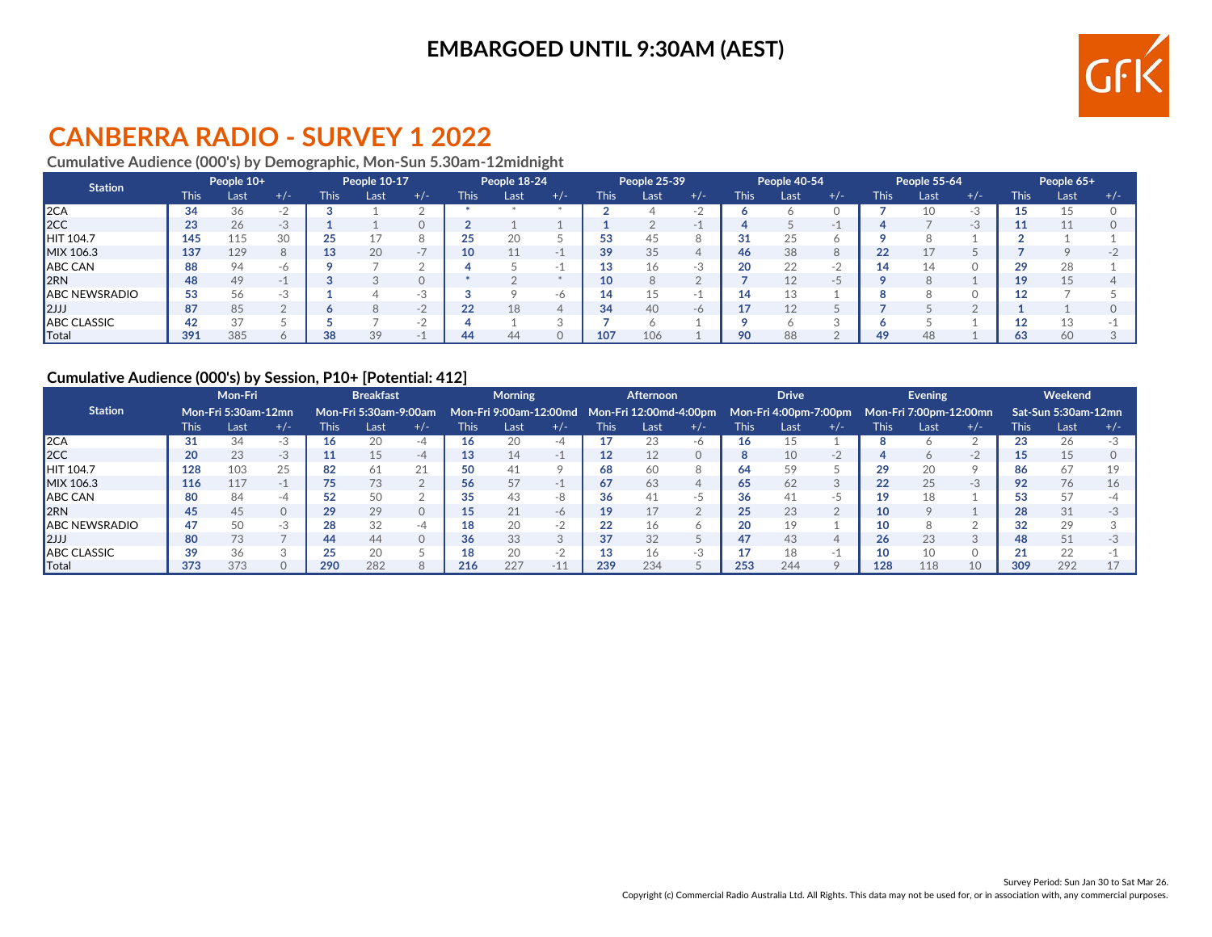## **EMBARGOED UNTIL 9:30AM (AEST)**



# **CANBERRA RADIO - SURVEY 1 2022**

### **Cumulative Audience (000's) by Demographic, Mon-Sun 5.30am-12midnight**

| <b>Station</b>       |             | People 10+ |       | People 10-17 |      |       | People 18-24 |      |       | People 25-39 |      |       | People 40-54 |      |              | People 55-64 |      |       | People 65+ |       |       |
|----------------------|-------------|------------|-------|--------------|------|-------|--------------|------|-------|--------------|------|-------|--------------|------|--------------|--------------|------|-------|------------|-------|-------|
|                      | <b>This</b> | Last       | $+/-$ | <b>This</b>  | Last | $+/-$ | This         | Last | $+/-$ | <b>This</b>  | Last | $+/-$ | <b>This</b>  | Last | $+/-$        | <b>This</b>  | Last | $+/-$ | This       | Last, | $+/-$ |
| 2CA                  | 34          | 36         |       |              |      |       |              |      |       |              |      |       |              |      |              |              |      |       |            |       |       |
| 2CC                  | 23          | 26         | $-3$  |              |      |       |              |      |       |              |      |       |              |      |              |              |      |       |            |       |       |
| <b>HIT 104.7</b>     | 145         | 115        | 30    |              |      |       |              | 20   |       | 53           | 45   |       | 31           |      |              |              |      |       |            |       |       |
| MIX 106.3            | 137         | 129        | 8     | 13           | 20   |       | 10           | 11   |       | 39           | 35   |       | 46           | 38   | 8            | 22           |      |       |            |       |       |
| ABC CAN              | 88          | 94         | -6    |              |      |       |              |      |       |              |      |       | 20           | 22   | $\sim$<br>a. |              |      |       |            | 28    |       |
| 2RN                  | 48          | 49         |       |              |      |       |              |      |       | 10           |      |       |              |      |              |              |      |       |            |       |       |
| <b>ABC NEWSRADIO</b> | 53          | 56         | $-35$ |              |      |       |              |      | $-n$  |              |      |       | 14           |      |              |              |      |       |            |       |       |
| 2JJJ                 | 87          | 85         |       |              |      | $-2$  | つつ           | 18   |       | 34           | 40   |       |              |      |              |              |      |       |            |       |       |
| <b>ABC CLASSIC</b>   | 42          | 37         |       |              |      |       |              |      |       |              |      |       |              |      |              |              |      |       |            |       |       |
| <b>T</b> otal        | 391         | 385        |       | 38           | 39   |       | 44           | 44   |       | 107          | 106  |       | 90           | 88   |              | 49           | 48   |       | 63         | 60    |       |

#### **Cumulative Audience (000's) by Session, P10+ [Potential: 412]**

| <b>Mon-Fri</b>        |      |                     |          |                       | <b>Breakfast</b> |                       | <b>Morning</b> |                        |           | <b>Afternoon</b> |                        |       | <b>Drive</b> |                       |              | Evening |                        |       | Weekend      |                     |       |
|-----------------------|------|---------------------|----------|-----------------------|------------------|-----------------------|----------------|------------------------|-----------|------------------|------------------------|-------|--------------|-----------------------|--------------|---------|------------------------|-------|--------------|---------------------|-------|
| <b>Station</b>        |      | Mon-Fri 5:30am-12mn |          | Mon-Fri 5:30am-9:00am |                  |                       |                | Mon-Fri 9:00am-12:00md |           |                  | Mon-Fri 12:00md-4:00pm |       |              | Mon-Fri 4:00pm-7:00pm |              |         | Mon-Fri 7:00pm-12:00mn |       |              | Sat-Sun 5:30am-12mn |       |
|                       | This | Last                | $+/-$    | This                  | Last             | $+/-$                 | This           | Last                   | $+/-$     | <b>This</b>      | Last                   | $+/-$ | This         | Last                  | $+/-$        | This    | Last                   | $+/-$ | This         | Last                | $+/-$ |
| 2CA                   | 31   | 34                  |          | 16                    | 20               |                       |                | 20                     |           | 17               | 23                     |       | 16           |                       |              |         |                        |       |              | 26                  |       |
| 2CC                   | 20   | 23                  | $-3$     |                       | 15               | -4                    |                | 14                     | ×.        | 12               | 12                     |       |              | 10                    | $-2$         |         | O                      | -2    |              | 15                  |       |
| <b>HIT 104.7</b>      | 128  | 103                 | 25       | 82                    | 61               | $\mathcal{D}$ 1<br>∠⊥ | 50             | 41                     |           | 68               | 60                     |       | 64           |                       |              | 29      | 20                     |       | 86           | 67                  |       |
| MIX 106.3             | 116  | 117                 | $-1$     | 75                    | 73               |                       | 56             | 57                     |           | 67               | 63                     |       | 65           | 62                    | $\sim$<br>-5 | 22      | 25                     | -3    | 92           | 76                  |       |
| ABC CAN               | 80   | 84                  | -4       | よつ                    | 50               |                       | 35             | 43                     |           | 36               |                        |       | 36           |                       | $-5$         | 19      |                        |       | 53           | 57                  |       |
| <b>I</b> 2RN          | 45   | 45                  | $\Omega$ | 29                    | 29               | 0                     |                | 21                     | $-\theta$ | 19               |                        |       | 25           | 23                    |              | 10      |                        |       | 28           | 31                  |       |
| <b>JABC NEWSRADIO</b> | 47   | 50                  | -3       | 28                    | 32               | -4                    | ıο             | 20                     | ×.        | 22               | 16                     |       | 20           |                       |              | 10      |                        |       | 32           | 29                  |       |
| $ 2$ JJJ              | 80   | 73                  |          | 44                    | 44               |                       | 36             | 33                     |           | 37               | 32                     |       |              |                       | 4            | 26      | 23                     |       | 48           | 51                  |       |
| <b>ABC CLASSIC</b>    | 39   | 36                  |          |                       | 20               |                       | "ົ             | 20                     |           | 13               |                        |       |              | 10                    | a.           |         | 10                     |       | $\mathbf{A}$ | 22                  |       |
| $\blacksquare$ Total  | 373  | 373                 |          | 290                   | 282              |                       | 216            | 227                    | $-11$     | 239              | 234                    |       | 253          | 244                   |              | 128     | 118                    |       | 309          | 292                 |       |